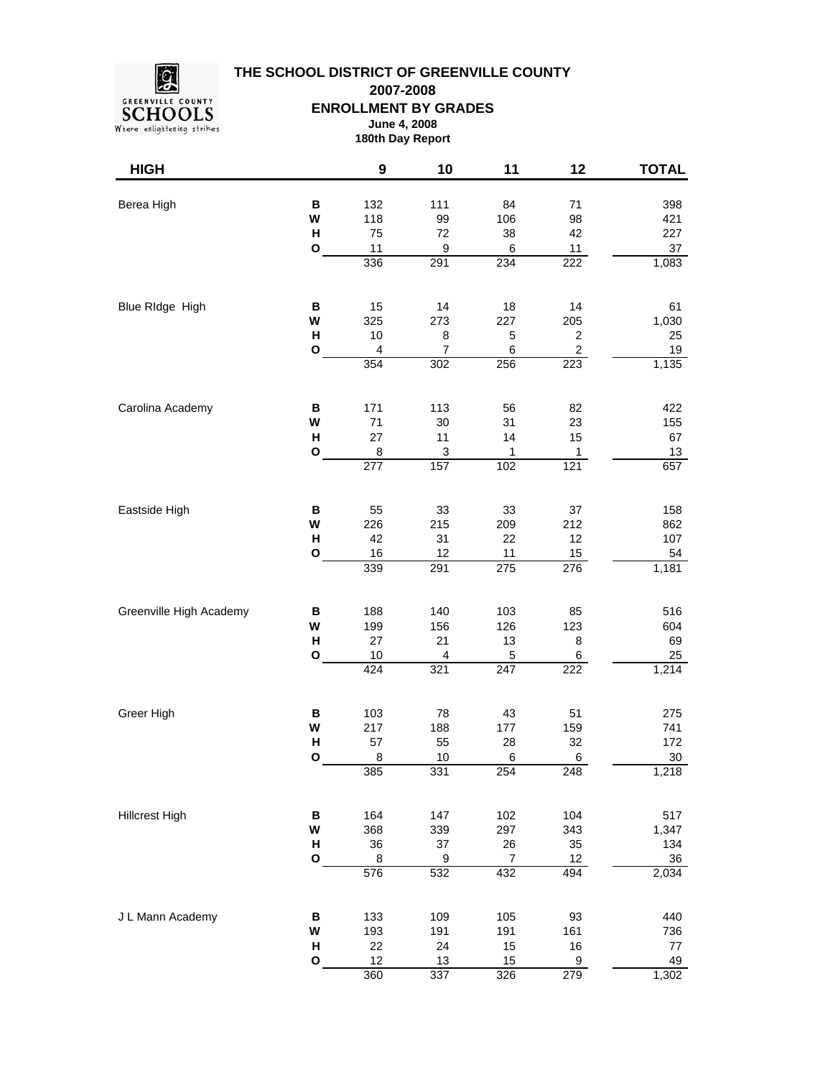

**THE SCHOOL DISTRICT OF GREENVILLE COUNTY 2007-2008**

**ENROLLMENT BY GRADES**

**June 4, 2008 180th Day Report**

| <b>HIGH</b>             |                             | $\boldsymbol{9}$                                  | 10                                      | 11                            | 12                                                            | <b>TOTAL</b>                         |
|-------------------------|-----------------------------|---------------------------------------------------|-----------------------------------------|-------------------------------|---------------------------------------------------------------|--------------------------------------|
| Berea High              | В<br>W<br>H<br>O            | 132<br>118<br>75<br>11                            | 111<br>99<br>72<br>9                    | 84<br>106<br>38<br>6          | 71<br>98<br>42<br>11                                          | 398<br>421<br>227<br>$37\,$          |
|                         |                             | 336                                               | 291                                     | 234                           | 222                                                           | 1,083                                |
| Blue RIdge High         | В<br>W<br>Н<br>$\mathbf{o}$ | 15<br>325<br>10<br>$\overline{\mathbf{4}}$<br>354 | 14<br>273<br>8<br>$\overline{7}$<br>302 | 18<br>227<br>5<br>6<br>256    | 14<br>205<br>$\overline{\mathbf{c}}$<br>$\overline{c}$<br>223 | 61<br>1,030<br>25<br>$19$<br>1,135   |
| Carolina Academy        | B<br>W<br>н<br>O            | 171<br>71<br>27<br>8<br>$\overline{277}$          | 113<br>30<br>11<br>3<br>157             | 56<br>31<br>14<br>1<br>102    | 82<br>23<br>15<br>1<br>121                                    | 422<br>155<br>67<br>13<br>657        |
| Eastside High           | В<br>W<br>н<br>$\mathbf{o}$ | 55<br>226<br>42<br>16<br>339                      | 33<br>215<br>31<br>12<br>291            | 33<br>209<br>22<br>11<br>275  | 37<br>212<br>12<br>15<br>276                                  | 158<br>862<br>107<br>54<br>1,181     |
| Greenville High Academy | B<br>W<br>H<br>O            | 188<br>199<br>27<br>$10$<br>424                   | 140<br>156<br>21<br>4<br>321            | 103<br>126<br>13<br>5<br>247  | 85<br>123<br>8<br>6<br>222                                    | 516<br>604<br>69<br>25<br>1,214      |
| Greer High              | B<br>W<br>H<br>О            | 103<br>217<br>57<br>8<br>385                      | 78<br>188<br>55<br>10<br>331            | 43<br>177<br>28<br>6<br>254   | 51<br>159<br>32<br>6<br>248                                   | 275<br>741<br>172<br>$30\,$<br>1,218 |
| <b>Hillcrest High</b>   | B<br>W<br>Н<br>O            | 164<br>368<br>36<br>$\bf 8$<br>576                | 147<br>339<br>37<br>9<br>532            | 102<br>297<br>26<br>7<br>432  | 104<br>343<br>35<br>12<br>494                                 | 517<br>1,347<br>134<br>36<br>2,034   |
| J L Mann Academy        | B<br>W<br>Н<br>O            | 133<br>193<br>22<br>12<br>360                     | 109<br>191<br>24<br>13<br>337           | 105<br>191<br>15<br>15<br>326 | 93<br>161<br>16<br>9<br>279                                   | 440<br>736<br>77<br>49<br>1,302      |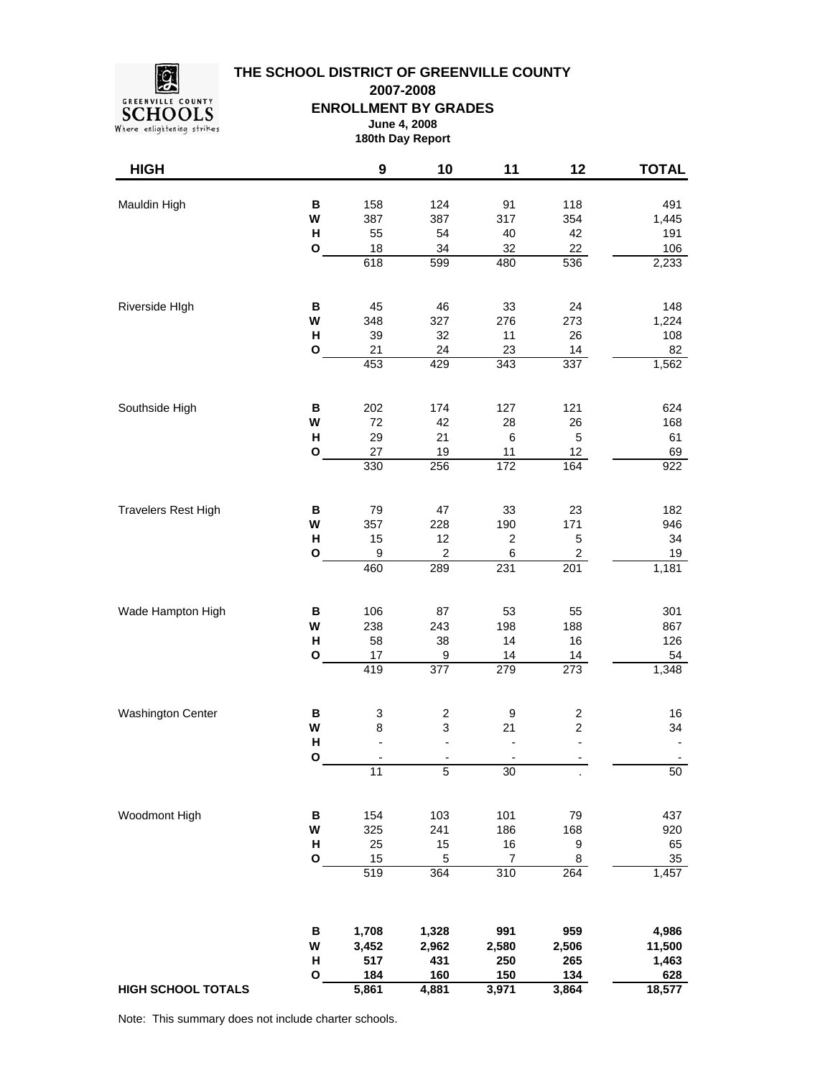

**THE SCHOOL DISTRICT OF GREENVILLE COUNTY 2007-2008**

**ENROLLMENT BY GRADES**

**June 4, 2008 180th Day Report**

| <b>HIGH</b>                |                             | 9                                          | 10                                                        | 11                                             | 12                                                                    | <b>TOTAL</b>                               |
|----------------------------|-----------------------------|--------------------------------------------|-----------------------------------------------------------|------------------------------------------------|-----------------------------------------------------------------------|--------------------------------------------|
| Mauldin High               | B<br>W<br>$\mathsf{H}$<br>O | 158<br>387<br>55<br>18                     | 124<br>387<br>54<br>34                                    | 91<br>317<br>40<br>32                          | 118<br>354<br>42<br>22                                                | 491<br>1,445<br>191<br>106                 |
|                            |                             | 618                                        | $\overline{599}$                                          | 480                                            | 536                                                                   | 2,233                                      |
| Riverside HIgh             | В<br>W<br>н<br>O            | 45<br>348<br>39<br>21<br>453               | 46<br>327<br>32<br>24<br>429                              | 33<br>276<br>11<br>23<br>343                   | 24<br>273<br>26<br>14<br>337                                          | 148<br>1,224<br>108<br>82<br>1,562         |
|                            |                             |                                            |                                                           |                                                |                                                                       |                                            |
| Southside High             | B<br>W<br>н<br>$\mathbf{o}$ | 202<br>72<br>29<br>27<br>330               | 174<br>42<br>21<br>19<br>256                              | 127<br>28<br>$\,6\,$<br>11<br>$\overline{172}$ | 121<br>26<br>5<br>12<br>164                                           | 624<br>168<br>61<br>69<br>922              |
| <b>Travelers Rest High</b> | В<br>W<br>н<br>O            | 79<br>357<br>15<br>$\boldsymbol{9}$<br>460 | 47<br>228<br>12<br>$\overline{c}$<br>289                  | 33<br>190<br>$\overline{2}$<br>6<br>231        | 23<br>171<br>$\mathbf 5$<br>$\overline{c}$<br>201                     | 182<br>946<br>34<br>19<br>1,181            |
| Wade Hampton High          | B<br>W<br>$\mathsf{H}$<br>O | 106<br>238<br>58<br>17<br>419              | 87<br>243<br>38<br>9<br>377                               | 53<br>198<br>14<br>14<br>279                   | 55<br>188<br>16<br>14<br>273                                          | 301<br>867<br>126<br>54<br>1,348           |
| <b>Washington Center</b>   | В<br>W<br>Н<br>O            | 3<br>8<br>$\overline{a}$<br>11             | 2<br>3<br>$\overline{a}$<br>$\overline{\phantom{a}}$<br>5 | 9<br>21<br>$\overline{\phantom{a}}$<br>30      | $\overline{\mathbf{c}}$<br>$\overline{c}$<br>$\overline{\phantom{a}}$ | 16<br>34<br>$\overline{\phantom{a}}$<br>50 |
|                            |                             |                                            |                                                           |                                                |                                                                       |                                            |
| Woodmont High              | В<br>W<br>Н<br>O            | 154<br>325<br>25<br>15<br>519              | 103<br>241<br>15<br>5<br>364                              | 101<br>186<br>$16\,$<br>$\overline{7}$<br>310  | 79<br>168<br>9<br>8<br>264                                            | 437<br>920<br>65<br>35<br>1,457            |
| <b>HIGH SCHOOL TOTALS</b>  | $\, {\bf B}$<br>W<br>Н<br>O | 1,708<br>3,452<br>517<br>184<br>5,861      | 1,328<br>2,962<br>431<br>160<br>4,881                     | 991<br>2,580<br>250<br>150<br>3,971            | 959<br>2,506<br>265<br>134<br>3,864                                   | 4,986<br>11,500<br>1,463<br>628<br>18,577  |

Note: This summary does not include charter schools.